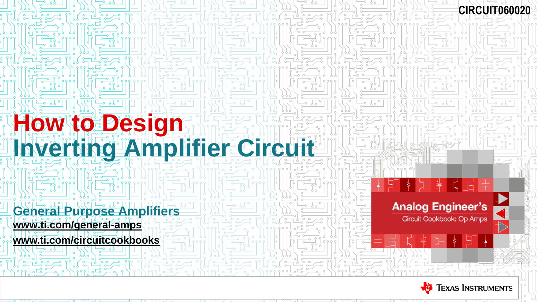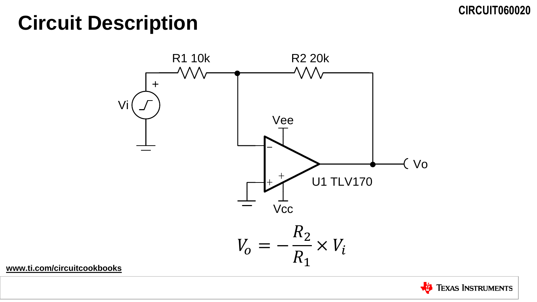# **Circuit Description**



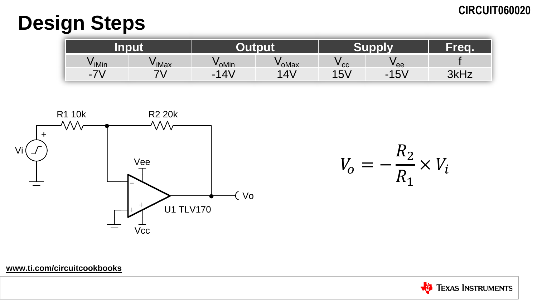# **Design Steps**

| <b>DAIR</b><br>прис                        |        |                |       |                  | Tred. |                       |
|--------------------------------------------|--------|----------------|-------|------------------|-------|-----------------------|
| <sup>v</sup> iMin                          | ' iMax | <b>V</b> oMin  | 'oMax | cc               | 'ee   |                       |
| $\overline{\phantom{a}}$<br>$\blacksquare$ |        | $\Lambda$<br>- | 4     | <b>I FI</b><br>ັ | 15V   | <b>3447</b><br>או וחט |



 $V_o = -\frac{R_2}{R_1} \times V_i$ 

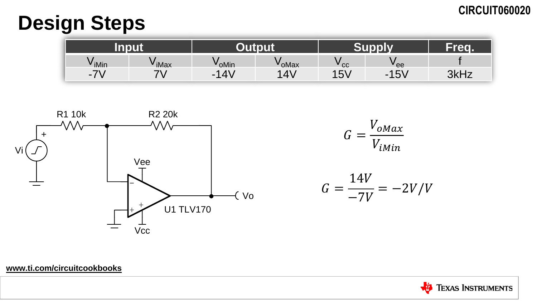# **Design Steps**

| <b>BARTH</b>                  |         |                      |                |               | Freq.    |                |
|-------------------------------|---------|----------------------|----------------|---------------|----------|----------------|
| V iMin                        | ' iMax  | oMin                 | 'oMax          | cc            | " ee     |                |
| フ<br>$\overline{\phantom{a}}$ | -1<br>v | $4\lambda$<br>И<br>- | 4 <sup>1</sup> | 1 に/<br>I O V | 15V<br>- | クレロラ<br>JNI IZ |



 $G = \frac{V_{oMax}}{V_{iMin}}$ 

 $G = \frac{14V}{-7V} = -2V/V$ 

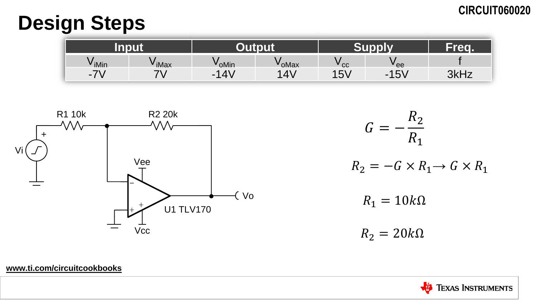# **Design Steps**

|                               |          |                     |                | . <del>. .</del> |                                                         | <b>Ted.</b>        |
|-------------------------------|----------|---------------------|----------------|------------------|---------------------------------------------------------|--------------------|
| V iMin                        | iMax     | oMin                | 'oMax          | cc               | 'ee                                                     |                    |
| フ<br>$\overline{\phantom{a}}$ | - 1<br>v | $\lambda$<br>л<br>- | 4 <sup>1</sup> | 5 <sub>V</sub>   | $\sqrt{51}$<br>$\boldsymbol{\mathcal{A}}$<br>- 1<br>◡ ៴ | っしロー<br>╶╹┻<br>ווי |



$$
G = -\frac{R_2}{R_1}
$$
  
\n
$$
R_2 = -G \times R_1 \to G \times R_1
$$
  
\n
$$
R_1 = 10k\Omega
$$
  
\n
$$
R_2 = 20k\Omega
$$

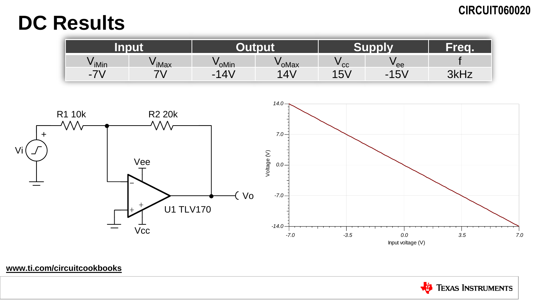# **DC Results**

| Input                                      |        | +юпи          |       | <b>Curanti</b>  | Frea        |      |
|--------------------------------------------|--------|---------------|-------|-----------------|-------------|------|
| V iMin                                     | ' iMax | <b>V</b> oMin | 'oMax | cc              | ' ee        |      |
| $\overline{\phantom{a}}$<br>$\blacksquare$ | v      | 4V<br>ø       | 4     | <b>IEV</b><br>ັ | $-15V$<br>- | 3kHz |



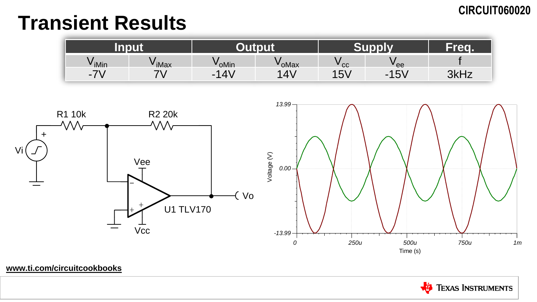# **Transient Results**

| nnut<br>шрас                                |               |                       |          |      | <b>TAN</b>             |      |
|---------------------------------------------|---------------|-----------------------|----------|------|------------------------|------|
| V iMin                                      | <b>v</b> iMax | <b>v</b> oMin         | ' oMax   | ' cc | " ee                   |      |
| $\overline{\phantom{a}}$<br>$\sim$ $\prime$ |               | $ 4\rangle$<br>л<br>- | $\Delta$ | 15V  | $-15V$<br>$\sim$<br>ັບ | 3kHz |



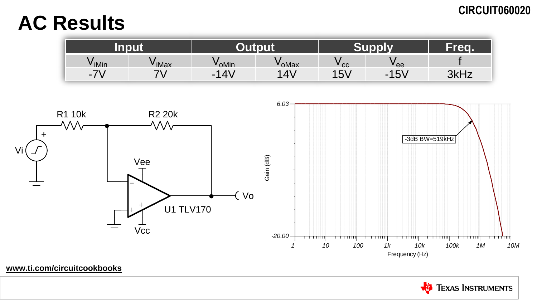# **AC Results**

| <b>DAIR</b><br>шрис                |        |                       |                           |            | <b>Ted.</b>                             |      |
|------------------------------------|--------|-----------------------|---------------------------|------------|-----------------------------------------|------|
| V iMin                             | ' iMax | oMin                  | 'oMax                     | cc         | "ee                                     |      |
| $\overline{\phantom{a}}$<br>$\sim$ |        | $14\lambda$<br>↗<br>- | $\mathbf{A}^{\mathbf{v}}$ | <b>15V</b> | 1 にい<br>$\mathbf{r}$<br>I O V<br>$\sim$ | 3kHz |



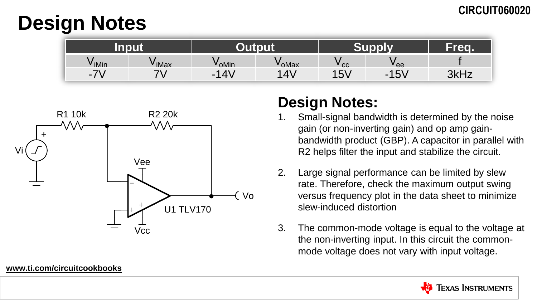# **Design Notes**

| <b>INALL</b><br>TELL<br>. |        |         |        |              | Tech       |      |
|---------------------------|--------|---------|--------|--------------|------------|------|
| V iMin                    | ' iMax | VoMin   | ' oMax | cc           | ' ee       |      |
|                           |        | 4V<br>- | 4'     | 15V<br>∣ O V | 15V<br>. . | 3kHz |



# **Design Notes:**

- Small-signal bandwidth is determined by the noise gain (or non-inverting gain) and op amp gainbandwidth product (GBP). A capacitor in parallel with R2 helps filter the input and stabilize the circuit.
- 2. Large signal performance can be limited by slew rate. Therefore, check the maximum output swing versus frequency plot in the data sheet to minimize slew-induced distortion
- 3. The common-mode voltage is equal to the voltage at the non-inverting input. In this circuit the commonmode voltage does not vary with input voltage.

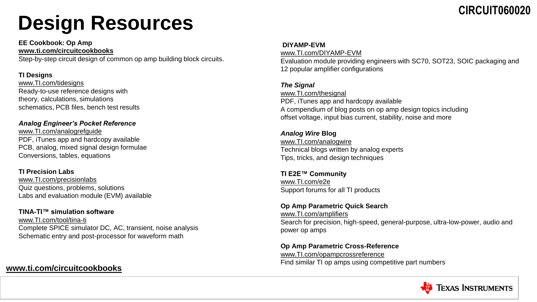# **Design Resources**

**EE Cookbook: Op Amp [www.ti.com/circuitcookbooks](http://www.ti.com/circuitcookbooks)**

Step-by-step circuit design of common op amp building block circuits.

#### **TI Designs**

[www.TI.com/tidesigns](http://www.ti.com/tidesigns) Ready-to-use reference designs with theory, calculations, simulations schematics, PCB files, bench test results

#### *Analog Engineer's Pocket Reference*

[www.TI.com/analogrefguide](http://www.ti.com/analogrefguide) PDF, iTunes app and hardcopy available PCB, analog, mixed signal design formulae Conversions, tables, equations

#### **TI Precision Labs**

[www.TI.com/precisionlabs](http://www.ti.com/precisionlabs) Quiz questions, problems, solutions Labs and evaluation module (EVM) available

#### **TINA-TI™ simulation software**

[www.TI.com/tool/tina-ti](http://www.ti.com/tool/tina-ti) Complete SPICE simulator DC, AC, transient, noise analysis Schematic entry and post-processor for waveform math

### **[www.ti.com/circuitcookbooks](http://www.ti.com/circuitcookbooks)**

#### **DIYAMP-EVM**

[www.TI.com/DIYAMP-EVM](http://www.ti.com/DIYAMP-EVM) Evaluation module providing engineers with SC70, SOT23, SOIC packaging and 12 popular amplifier configurations

#### *The Signal*

www.TI.com/thesignal PDF, iTunes app and hardcopy available A compendium of blog posts on op amp design topics including offset voltage, input bias current, stability, noise and more

#### *Analog Wire* **Blog** [www.TI.com/analogwire](http://www.ti.com/analogwire) Technical blogs written by analog experts Tips, tricks, and design techniques

**TI E2E™ Community** [www.TI.com/e2e](http://www.ti.com/e2e) Support forums for all TI products

#### **Op Amp Parametric Quick Search**

[www.TI.com/amplifiers](http://www.ti.com/amplifiers) Search for precision, high-speed, general-purpose, ultra-low-power, audio and power op amps

**Op Amp Parametric Cross-Reference** [www.TI.com/opampcrossreference](http://www.ti.com/opampcrossreference) Find similar TI op amps using competitive part numbers